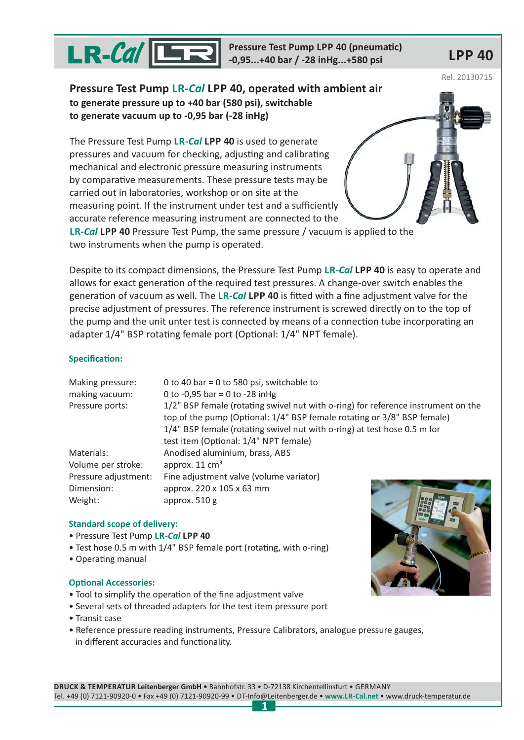

**Pressure Test Pump LPP 40 (pneumatic) -0,95...+40 bar / -28 inHg...+580 psi LPP 40**

Rel. 20130715

**Pressure Test Pump LR-***Cal* **LPP 40, operated with ambient air to generate pressure up to +40 bar (580 psi), switchable to generate vacuum up to -0,95 bar (-28 inHg)**

The Pressure Test Pump LR-*Cal* LPP 40 is used to generate pressures and vacuum for checking, adjusting and calibrating mechanical and electronic pressure measuring instruments by comparative measurements. These pressure tests may be carried out in laboratories, workshop or on site at the measuring point. If the instrument under test and a sufficiently accurate reference measuring instrument are connected to the

**LR-***Cal* **LPP 40** Pressure Test Pump, the same pressure / vacuum is applied to the two instruments when the pump is operated.

Despite to its compact dimensions, the Pressure Test Pump LR-Cal LPP 40 is easy to operate and allows for exact generation of the required test pressures. A change-over switch enables the generation of vacuum as well. The LR-*Cal* LPP 40 is fitted with a fine adjustment valve for the precise adjustment of pressures. The reference instrument is screwed directly on to the top of the pump and the unit unter test is connected by means of a connection tube incorporating an adapter 1/4" BSP rotating female port (Optional: 1/4" NPT female).

## **Specification:**

| Making pressure:     | 0 to 40 bar = 0 to 580 psi, switchable to                                                                                                                                                                                                                                         |  |  |
|----------------------|-----------------------------------------------------------------------------------------------------------------------------------------------------------------------------------------------------------------------------------------------------------------------------------|--|--|
| making vacuum:       | 0 to -0,95 bar = 0 to -28 in Hg                                                                                                                                                                                                                                                   |  |  |
| Pressure ports:      | 1/2" BSP female (rotating swivel nut with o-ring) for reference instrument on the<br>top of the pump (Optional: 1/4" BSP female rotating or 3/8" BSP female)<br>1/4" BSP female (rotating swivel nut with o-ring) at test hose 0.5 m for<br>test item (Optional: 1/4" NPT female) |  |  |
|                      |                                                                                                                                                                                                                                                                                   |  |  |
| Materials:           | Anodised aluminium, brass, ABS                                                                                                                                                                                                                                                    |  |  |
| Volume per stroke:   | approx. $11 \text{ cm}^3$                                                                                                                                                                                                                                                         |  |  |
| Pressure adjustment: | Fine adjustment valve (volume variator)                                                                                                                                                                                                                                           |  |  |
| Dimension:           | approx. 220 x 105 x 63 mm                                                                                                                                                                                                                                                         |  |  |
| Weight:              | approx. $510 g$                                                                                                                                                                                                                                                                   |  |  |

## **Standard scope of delivery:**

- Pressure Test Pump **LR-***Cal* **LPP 40**
- Test hose 0.5 m with 1/4" BSP female port (rotating, with o-ring)
- Operating manual

## **Optional Accessories:**

- Tool to simplify the operation of the fine adjustment valve
- Several sets of threaded adapters for the test item pressure port
- Transit case
- Reference pressure reading instruments, Pressure Calibrators, analogue pressure gauges, in different accuracies and functionality.

**DRUCK & TEMPERATUR Leitenberger GmbH •** Bahnhofstr. 33 • D-72138 Kirchentellinsfurt • GERMANY Tel. +49 (0) 7121-90920-0 • Fax +49 (0) 7121-90920-99 • DT-Info@Leitenberger.de • • www.druck-temperatur.de **www.LR-Cal.net 1**